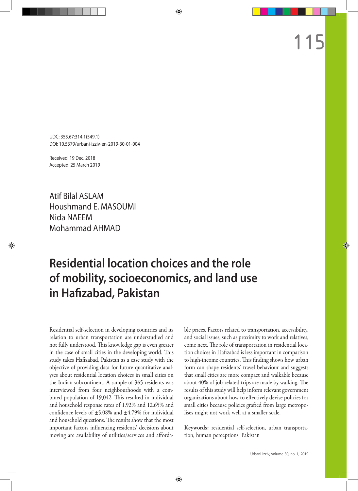UDC: 355.67:314.1(549.1) DOI: 10.5379/urbani-izziv-en-2019-30-01-004

Received: 19 Dec. 2018 Accepted: 25 March 2019

Atif Bilal ASLAM Houshmand E. MASOUMI Nida NAEEM Mohammad AHMAD

# **Residential location choices and the role of mobility, socioeconomics, and land use in Hafizabad, Pakistan**

Residential self-selection in developing countries and its relation to urban transportation are understudied and not fully understood. This knowledge gap is even greater in the case of small cities in the developing world. This study takes Hafizabad, Pakistan as a case study with the objective of providing data for future quantitative analyses about residential location choices in small cities on the Indian subcontinent. A sample of 365 residents was interviewed from four neighbourhoods with a combined population of 19,042. This resulted in individual and household response rates of 1.92% and 12.65% and confidence levels of  $\pm$ 5.08% and  $\pm$ 4.79% for individual and household questions. The results show that the most important factors influencing residents' decisions about moving are availability of utilities/services and affordable prices. Factors related to transportation, accessibility, and social issues, such as proximity to work and relatives, come next. The role of transportation in residential location choices in Hafizabad is less important in comparison to high-income countries. This finding shows how urban form can shape residents' travel behaviour and suggests that small cities are more compact and walkable because about 40% of job-related trips are made by walking. The results of this study will help inform relevant government organizations about how to effectively devise policies for small cities because policies grafted from large metropolises might not work well at a smaller scale.

Keywords: residential self-selection, urban transportation, human perceptions, Pakistan

115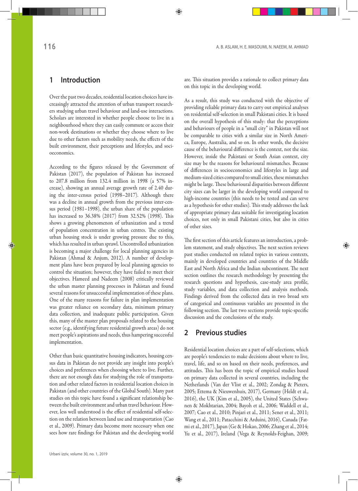## **1 Introduction**

Over the past two decades, residential location choices have increasingly attracted the attention of urban transport researchers studying urban travel behaviour and land-use interactions. Scholars are interested in whether people choose to live in a neighbourhood where they can easily commute or access their non-work destinations or whether they choose where to live due to other factors such as mobility needs, the effects of the built environment, their perceptions and lifestyles, and socioeconomics.

According to the figures released by the Government of Pakistan (2017), the population of Pakistan has increased to 207.8 million from 132.4 million in 1998 (a 57% increase), showing an annual average growth rate of 2.40 during the inter-census period (1998–2017). Although there was a decline in annual growth from the previous inter-census period (1981–1998), the urban share of the population has increased to 36.38% (2017) from 32.52% (1998). This shows a growing phenomenon of urbanization and a trend of population concentration in urban centres. The existing urban housing stock is under growing pressure due to this, which has resulted in urban sprawl. Uncontrolled urbanization is becoming a major challenge for local planning agencies in Pakistan (Ahmad & Anjum, 2012). A number of development plans have been prepared by local planning agencies to control the situation; however, they have failed to meet their objectives. Hameed and Nadeem (2008) critically reviewed the urban master planning processes in Pakistan and found several reasons for unsuccessful implementation of these plans. One of the many reasons for failure in plan implementation was greater reliance on secondary data, minimum primary data collection, and inadequate public participation. Given this, many of the master plan proposals related to the housing sector (e.g., identifying future residential growth areas) do not meet people's aspirations and needs, thus hampering successful implementation.

Other than basic quantitative housing indicators, housing census data in Pakistan do not provide any insight into people's choices and preferences when choosing where to live. Further, there are not enough data for studying the role of transportation and other related factors in residential location choices in Pakistan (and other countries of the Global South). Many past studies on this topic have found a significant relationship between the built environment and urban travel behaviour. However, less well understood is the effect of residential self-selection on the relation between land use and transportation (Cao et al., 2009). Primary data become more necessary when one sees how rare findings for Pakistan and the developing world are. This situation provides a rationale to collect primary data on this topic in the developing world.

As a result, this study was conducted with the objective of providing reliable primary data to carry out empirical analyses on residential self-selection in small Pakistani cities. It is based on the overall hypothesis of this study: that the perceptions and behaviours of people in a "small city" in Pakistan will not be comparable to cities with a similar size in North America, Europe, Australia, and so on. In other words, the decisive cause of the behavioural difference is the context, not the size. However, inside the Pakistani or South Asian context, city size may be the reasons for behavioural mismatches. Because of differences in socioeconomics and lifestyles in large and medium-sized cities compared to small cities, these mismatches might be large. These behavioural disparities between different city sizes can be larger in the developing world compared to high-income countries (this needs to be tested and can serve as a hypothesis for other studies). This study addresses the lack of appropriate primary data suitable for investigating location choices, not only in small Pakistani cities, but also in cities of other sizes.

The first section of this article features an introduction, a problem statement, and study objectives. The next section reviews past studies conducted on related topics in various contexts, mainly in developed countries and countries of the Middle East and North Africa and the Indian subcontinent. The next section outlines the research methodology by presenting the research questions and hypothesis, case-study area profile, study variables, and data collection and analysis methods. Findings derived from the collected data in two broad sets of categorical and continuous variables are presented in the following section. The last two sections provide topic-specific discussion and the conclusions of the study.

### **2 Previous studies**

Residential location choices are a part of self-selections, which are people's tendencies to make decisions about where to live, travel, life, and so on based on their needs, preferences, and attitudes. This has been the topic of empirical studies based on primary data collected in several countries, including the Netherlands (Van der Vlist et al., 2002; Zondag & Pieters, 2005; Ettema & Nieuwenhuis, 2017), Germany (Heldt et al., 2016), the UK (Kim et al., 2005), the United States (Schwanen & Mokhtarian, 2004; Bayoh et al., 2006; Waddell et al., 2007; Cao et al., 2010; Pinjari et al., 2011; Sener et al., 2011; Wang et al., 2011; Patacchini & Arduini, 2016), Canada (Fatmi et al., 2017), Japan (Ge & Hokao, 2006; Zhang et al., 2014; Yu et al., 2017), Ireland (Vega & Reynolds-Feighan, 2009;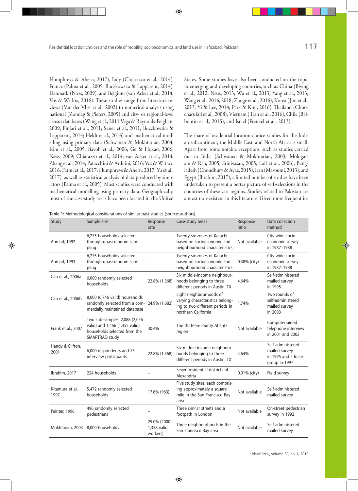Humphreys & Ahern, 2017), Italy (Chiarazzo et al., 2014), France (Palma et al., 2005; Buczkowska & Lapparent, 2014), Denmark (Næss, 2009), and Belgium (van Acker et al., 2014; Vos & Witlox, 2016). These studies range from literature reviews (Van der Vlist et al., 2002) to numerical analysis using national (Zondag & Pieters, 2005) and city- or regional-level census databases (Wang et al., 2011;Vega & Reynolds-Feighan, 2009; Pinjari et al., 2011; Sener et al., 2011; Buczkowska & Lapparent, 2014; Heldt et al., 2016) and mathematical modelling using primary data (Schwanen & Mokhtarian, 2004; Kim et al., 2005; Bayoh et al., 2006; Ge & Hokao, 2006; Næss, 2009; Chiarazzo et al., 2014; van Acker et al., 2014; Zhang et al., 2014; Patacchini & Arduini, 2016; Vos & Witlox, 2016; Fatmi et al., 2017; Humphreys & Ahern, 2017; Yu et al., 2017), as well as statistical analysis of data produced by simulators (Palma et al., 2005). Most studies were conducted with mathematical modelling using primary data. Geographically, most of the case-study areas have been located in the United States. Some studies have also been conducted on the topic in emerging and developing countries, such as China (Biying et al., 2012; Næss, 2013; Wu et al., 2013; Yang et al., 2013; Wang et al., 2016, 2018; Zhuge et al., 2016), Korea ( Jun et al., 2013; Yi & Lee, 2014; Park & Kim, 2016), Thailand (Choocharukul et al., 2008), Vietnam (Tran et al., 2016), Chile (Balbontin et al., 2015), and Israel (Frenkel et al., 2013).

The share of residential location choice studies for the Indian subcontinent, the Middle East, and North Africa is small. Apart from some notable exceptions, such as studies carried out in India (Schwanen & Mokhtarian, 2003; Molugaram & Rao, 2005; Srinivasan, 2005; Lall et al., 2006), Bangladesh (Choudhury & Ayaz, 2015), Iran (Masoumi, 2013), and Egypt (Ibrahim, 2017), a limited number of studies have been undertaken to present a better picture of self-selections in the countries of these vast regions. Studies related to Pakistan are almost non-existent in this literature. Given more frequent in-

**Table 1:** Methodological considerations of similar past studies (source: authors).

| Study                    | Sample size                                                                                                       | Response<br>rate                        | Case-study areas                                                                                                     | Response<br>ratio | Data collection<br>method                                                  |
|--------------------------|-------------------------------------------------------------------------------------------------------------------|-----------------------------------------|----------------------------------------------------------------------------------------------------------------------|-------------------|----------------------------------------------------------------------------|
| Ahmad, 1992              | 6.275 households selected<br>through quasi-random sam-<br>pling                                                   |                                         | Twenty-six zones of Karachi<br>based on socioeconomic and<br>neighbourhood characteristics                           | Not available     | City-wide socio-<br>economic survey<br>in 1987-1988                        |
| Ahmad, 1993              | 6,275 households selected<br>through quasi-random sam-<br>pling                                                   |                                         | Twenty-six zones of Karachi<br>based on socioeconomic and<br>neighbourhood characteristics                           | 0.38% (city)      | City-wide socio-<br>economic survey<br>in 1987-1988                        |
| Cao et al., 2006a        | 6,000 randomly selected<br>households                                                                             | 22.8% (1,368)                           | Six middle-income neighbour-<br>hoods belonging to three<br>different periods in Austin, TX                          | 4.64%             | Self-administered<br>mailed survey<br>in 1995                              |
| Cao et al., 2006b        | 8,000 (6,746 valid) households<br>randomly selected from a com- 24.9% (1,682)<br>mercially maintained database    |                                         | Eight neighbourhoods of<br>varying characteristics belong-<br>ing to two different periods in<br>northern California | 1.74%             | Two rounds of<br>self-administered<br>mailed survey<br>in 2003             |
| Frank et al., 2007       | Two sub-samples: 2,088 (2,056<br>valid) and 1,466 (1,455 valid)<br>households selected from the<br>SMARTRAQ study | 30.4%                                   | The thirteen-county Atlanta<br>region                                                                                | Not available     | Computer-aided<br>telephone interview<br>in 2001 and 2002                  |
| Handy & Clifton,<br>2001 | 6,000 respondents and 75<br>interview participants                                                                | 22.8% (1,368)                           | Six middle-income neighbour-<br>hoods belonging to three<br>different periods in Austin, TX                          | 4.64%             | Self-administered<br>mailed survey<br>in 1995 and a focus<br>group in 1997 |
| Ibrahim, 2017            | 224 households                                                                                                    |                                         | Seven residential districts of<br>Alexandria                                                                         | 0.01% (city)      | Field survey                                                               |
| Kitamura et al.,<br>1997 | 5,472 randomly selected<br>households                                                                             | 17.6% (963)                             | Five study sites, each compris-<br>ing approximately a square<br>mile in the San Francisco Bay<br>area               | Not available     | Self-administered<br>mailed survey                                         |
| Painter, 1996            | 496 randomly selected<br>pedestrians                                                                              |                                         | Three similar streets and a<br>footpath in London                                                                    | Not available     | On-street pedestrian<br>survey in 1992                                     |
| Mokhtarian, 2003         | 8,000 households                                                                                                  | 25.0% (2000:<br>1,358 valid<br>workers) | Three neighbourhoods in the<br>San Francisco Bay area                                                                | Not available     | Self-administered<br>mailed survey                                         |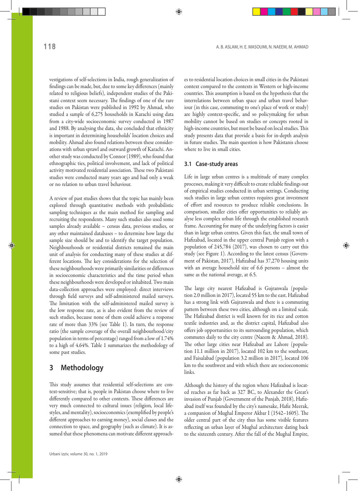vestigations of self-selections in India, rough generalization of findings can be made, but, due to some key differences (mainly related to religious beliefs), independent studies of the Pakistani context seem necessary. The findings of one of the rare studies on Pakistan were published in 1992 by Ahmad, who studied a sample of 6,275 households in Karachi using data from a city-wide socioeconomic survey conducted in 1987 and 1988. By analysing the data, she concluded that ethnicity is important in determining households' location choices and mobility. Ahmad also found relations between these considerations with urban sprawl and outward growth of Karachi. Another study was conducted by Connor (1989), who found that ethnographic ties, political involvement, and lack of political activity motivated residential association. These two Pakistani studies were conducted many years ago and had only a weak or no relation to urban travel behaviour.

A review of past studies shows that the topic has mainly been explored through quantitative methods with probabilistic sampling techniques as the main method for sampling and recruiting the respondents. Many such studies also used some samples already available – census data, previous studies, or any other maintained databases – to determine how large the sample size should be and to identify the target population. Neighbourhoods or residential districts remained the main unit of analysis for conducting many of these studies at different locations. The key considerations for the selection of these neighbourhoods were primarily similarities or differences in socioeconomic characteristics and the time period when these neighbourhoods were developed or inhabited. Two main data-collection approaches were employed: direct interviews through field surveys and self-administered mailed surveys. The limitation with the self-administered mailed survey is the low response rate, as is also evident from the review of such studies, because none of them could achieve a response rate of more than 33% (see Table 1). In turn, the response ratio (the sample coverage of the overall neighbourhood/city population in terms of percentage) ranged from a low of 1.74% to a high of 4.64%. Table 1 summarizes the methodology of some past studies.

# **3 Methodology**

This study assumes that residential self-selections are context-sensitive; that is, people in Pakistan choose where to live differently compared to other contexts. These differences are very much connected to cultural issues (religion, local lifestyles, and mentality), socioeconomics (exemplified by people's different approaches to earning money), social classes and the connection to space, and geography (such as climate). It is assumed that these phenomena can motivate different approaches to residential location choices in small cities in the Pakistani context compared to the contexts in Western or high-income countries. This assumption is based on the hypothesis that the interrelations between urban space and urban travel behaviour (in this case, commuting to one's place of work or study) are highly context-specific, and so policymaking for urban mobility cannot be based on studies or concepts rooted in high-income countries, but must be based on local studies. This study presents data that provide a basis for in-depth analysis in future studies. The main question is how Pakistanis choose where to live in small cities.

#### **3.1 Case-study areas**

Life in large urban centres is a multitude of many complex processes, making it very difficult to create reliable findings out of empirical studies conducted in urban settings. Conducting such studies in large urban centres requires great investment of effort and resources to produce reliable conclusions. In comparison, smaller cities offer opportunities to reliably analyse less complex urban life through the established research frame. Accounting for many of the underlying factors is easier than in large urban centres. Given this fact, the small town of Hafizabad, located in the upper central Punjab region with a population of 245,784 (2017), was chosen to carry out this study (see Figure 1). According to the latest census (Government of Pakistan, 2017), Hafizabad has 37,270 housing units with an average household size of 6.6 persons – almost the same as the national average, at 6.5.

The large city nearest Hafizabad is Gujranwala (population 2.0 million in 2017), located 55 km to the east. Hafizabad has a strong link with Gujranwala and there is a commuting pattern between these two cities, although on a limited scale. The Hafizabad district is well known for its rice and cotton textile industries and, as the district capital, Hafizabad also offers job opportunities to its surrounding population, which commutes daily to the city centre (Naeem & Ahmad, 2018). The other large cities near Hafizabad are Lahore (population 11.1 million in 2017), located 102 km to the southeast, and Faisalabad (population 3.2 million in 2017), located 106 km to the southwest and with which there are socioeconomic links.

Although the history of the region where Hafizabad is located reaches as far back as 327 BC, to Alexander the Great's invasion of Punjab (Government of the Punjab, 2018), Hafizabad itself was founded by the city's namesake, Hafiz Meerak, a companion of Mughal Emperor Akbar I (1542–1605). The older central part of the city thus has some visible features reflecting an urban layer of Mughal architecture dating back to the sixteenth century. After the fall of the Mughal Empire,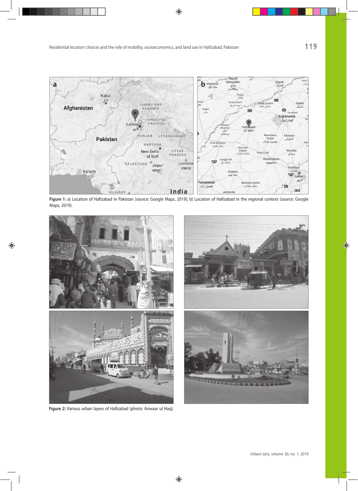

**Figure 1:** a) Location of Hafizabad in Pakistan (source: Google Maps, 2019); b) Location of Hafizabad in the regional context (source: Google Maps, 2019).



**Figure 2:** Various urban layers of Hafizabad (photo: Anwaar ul Haq).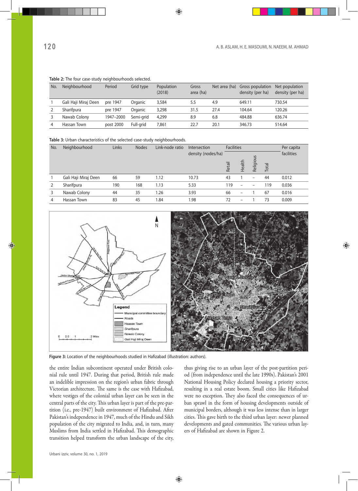|     | Table 2. The Tour case-study Heighbournoods selected. |           |                |                      |                    |               |                                             |                                    |  |  |  |  |
|-----|-------------------------------------------------------|-----------|----------------|----------------------|--------------------|---------------|---------------------------------------------|------------------------------------|--|--|--|--|
| No. | Neighbourhood                                         | Period    | Grid type      | Population<br>(2018) | Gross<br>area (ha) | Net area (ha) | <b>Gross population</b><br>density (per ha) | Net population<br>density (per ha) |  |  |  |  |
|     | Gali Haji Miraj Deen                                  | pre 1947  | Organic        | 3,584                | 5.5                | 4.9           | 649.11                                      | 730.54                             |  |  |  |  |
|     | Sharifpura                                            | pre 1947  | <b>Organic</b> | 3,298                | 31.5               | 27.4          | 104.64                                      | 120.26                             |  |  |  |  |
|     | Nawab Colony                                          | 1947-2000 | Semi-arid      | 4,299                | 8.9                | 6.8           | 484.88                                      | 636.74                             |  |  |  |  |
|     | Hassan Town                                           | post 2000 | Full-arid      | 7,861                | 22.7               | 20.1          | 346.73                                      | 514.64                             |  |  |  |  |

#### **Table 2:** The four case-study neighbourhoods selected.

**Table 3:** Urban characteristics of the selected case-study neighbourhoods.

| No. | Neighbourhood        | Links |     | <b>Nodes</b><br>Link-node ratio | Intersection       | <b>Facilities</b> |                          |           |       | Per capita |
|-----|----------------------|-------|-----|---------------------------------|--------------------|-------------------|--------------------------|-----------|-------|------------|
|     |                      |       |     |                                 | density (nodes/ha) |                   |                          |           |       | facilities |
|     |                      |       |     |                                 |                    | Retail            | Health                   | Religious | Total |            |
|     | Gali Haji Miraj Deen | 66    | 59  | 1.12                            | 10.73              | 43                |                          | -         | 44    | 0.012      |
| 2   | Sharifpura           | 190   | 168 | 1.13                            | 5.33               | 119               | $\overline{\phantom{0}}$ |           | 119   | 0.036      |
| 3   | Nawab Colony         | 44    | 35  | 1.26                            | 3.93               | 66                | $\overline{\phantom{0}}$ |           | 67    | 0.016      |
| 4   | Hassan Town          | 83    | 45  | 1.84                            | 1.98               | 72                | $\overline{\phantom{0}}$ |           | 73    | 0.009      |



**Figure 3:** Location of the neighbourhoods studied in Hafizabad (illustration: authors).

the entire Indian subcontinent operated under British colonial rule until 1947. During that period, British rule made an indelible impression on the region's urban fabric through Victorian architecture. The same is the case with Hafizabad, where vestiges of the colonial urban layer can be seen in the central parts of the city. This urban layer is part of the pre-partition (i.e., pre-1947) built environment of Hafizabad. After Pakistan's independence in 1947, much of the Hindu and Sikh population of the city migrated to India, and, in turn, many Muslims from India settled in Hafizabad. This demographic transition helped transform the urban landscape of the city,

thus giving rise to an urban layer of the post-partition period (from independence until the late 1990s). Pakistan's 2001 National Housing Policy declared housing a priority sector, resulting in a real estate boom. Small cities like Hafizabad were no exception. They also faced the consequences of urban sprawl in the form of housing developments outside of municipal borders, although it was less intense than in larger cities. This gave birth to the third urban layer: newer planned developments and gated communities. The various urban layers of Hafizabad are shown in Figure 2.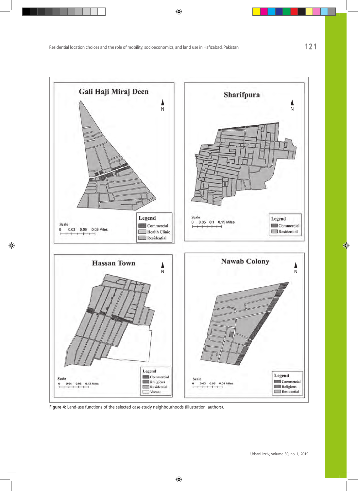

**Figure 4:** Land-use functions of the selected case-study neighbourhoods (illustration: authors).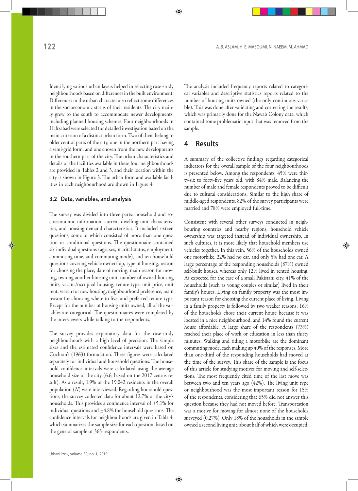Identifying various urban layers helped in selecting case-study neighbourhoods based on differences in the built environment. Differences in the urban character also reflect some differences in the socioeconomic status of their residents. The city mainly grew to the south to accommodate newer developments, including planned housing schemes. Four neighbourhoods in Hafizabad were selected for detailed investigation based on the main criterion of a distinct urban form. Two of them belong to older central parts of the city, one in the northern part having a semi-grid form, and one chosen from the new developments in the southern part of the city. The urban characteristics and details of the facilities available in these four neighbourhoods are provided in Tables 2 and 3, and their location within the city is shown in Figure 3. The urban form and available facilities in each neighbourhood are shown in Figure 4.

#### **3.2 Data, variables, and analysis**

The survey was divided into three parts: household and socioeconomic information, current dwelling unit characteristics, and housing demand characteristics. It included sixteen questions, some of which consisted of more than one question or conditional questions. The questionnaire contained six individual questions (age, sex, marital status, employment, commuting time, and commuting mode), and ten household questions covering vehicle ownership, type of housing, reason for choosing the place, date of moving, main reason for moving, owning another housing unit, number of owned housing units, vacant/occupied housing, tenure type, unit price, unit rent, search for new housing, neighbourhood preference, main reason for choosing where to live, and preferred tenure type. Except for the number of housing units owned, all of the variables are categorical. The questionnaires were completed by the interviewers while talking to the respondents.

The survey provides exploratory data for the case-study neighbourhoods with a high level of precision. The sample sizes and the estimated confidence intervals were based on Cochran's (1963) formulation. These figures were calculated separately for individual and household questions. The household confidence intervals were calculated using the average household size of the city (6.6, based on the 2017 census result). As a result, 1.9% of the 19,042 residents in the overall population (*N*) were interviewed. Regarding household questions, the survey collected data for about 12.7% of the city's households. This provides a confidence interval of  $\pm$ 5.1% for individual questions and  $\pm 4.8\%$  for household questions. The confidence intervals for neighbourhoods are given in Table 4, which summarizes the sample size for each question, based on the general sample of 365 respondents.

The analysis included frequency reports related to categorical variables and descriptive statistics reports related to the number of housing units owned (the only continuous variable). This was done after validating and correcting the results, which was primarily done for the Nawab Colony data, which contained some problematic input that was removed from the sample.

## **4 Results**

A summary of the collective findings regarding categorical indicators for the overall sample of the four neighbourhoods is presented below. Among the respondents, 45% were thirty-six to forty-five years old, with 84% male. Balancing the number of male and female respondents proved to be difficult due to cultural considerations. Similar to the high share of middle-aged respondents, 82% of the survey participants were married and 78% were employed full-time.

Consistent with several other surveys conducted in neighbouring countries and nearby regions, household vehicle ownership was targeted instead of individual ownership. In such cultures, it is more likely that household members use vehicles together. In this vein, 56% of the households owned one motorbike, 22% had no car, and only 5% had one car. A large percentage of the responding households (87%) owned self-built houses, whereas only 12% lived in rented housing. As expected for the case of a small Pakistani city, 41% of the households (such as young couples or similar) lived in their family's houses. Living on family property was the most important reason for choosing the current place of living. Living in a family property is followed by two weaker reasons: 16% of the households chose their current house because it was located in a nice neighbourhood, and 14% found the current house affordable. A large share of the respondents (73%) reached their place of work or education in less than thirty minutes. Walking and riding a motorbike are the dominant commuting mode, each making up 40% of the responses. More than one-third of the responding households had moved at the time of the survey. This share of the sample is the focus of this article for studying motives for moving and self-selections. The most frequently cited time of the last move was between two and ten years ago (42%). The living unit type or neighbourhood was the most important reason for 15% of the respondents, considering that 65% did not answer this question because they had not moved before. Transportation was a motive for moving for almost none of the households surveyed (0.27%). Only 18% of the households in the sample owned a second living unit, about half of which were occupied.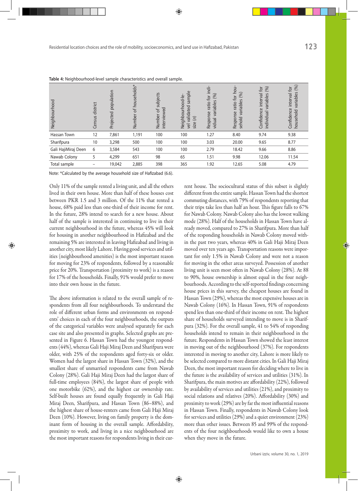| Neighbourhood       | district<br>Census | population<br>Projected | households*<br>ð<br>Number | subjects<br>interviewed<br>Number of | sample<br>Neighbourhood-le<br>validated<br>$\Xi$<br>size<br>$\overline{y}$ | indi-<br>(96)<br>for<br>$\Omega$<br>ratio<br>variable<br>Response<br>vidual | for hou-<br>(%)<br>riables<br>ratio<br>īεν<br>Response<br>sehold | (96)<br>$\tilde{\sigma}$<br>interval<br>ariables<br>$\geq$<br>Confidence<br>individual | (%)<br>ð,<br>variables<br>Confidence interval<br>household |
|---------------------|--------------------|-------------------------|----------------------------|--------------------------------------|----------------------------------------------------------------------------|-----------------------------------------------------------------------------|------------------------------------------------------------------|----------------------------------------------------------------------------------------|------------------------------------------------------------|
| Hassan Town         | 12                 | 7,861                   | 1,191                      | 100                                  | 100                                                                        | 1.27                                                                        | 8.40                                                             | 9.74                                                                                   | 9.38                                                       |
| Sharifpura          | 10                 | 3,298                   | 500                        | 100                                  | 100                                                                        | 3.03                                                                        | 20.00                                                            | 9.65                                                                                   | 8.77                                                       |
| Gali HajiMiraj Deen | 6                  | 3,584                   | 543                        | 100                                  | 100                                                                        | 2.79                                                                        | 18.42                                                            | 9.66                                                                                   | 8.86                                                       |
| Nawab Colony        | 5                  | 4,299                   | 651                        | 98                                   | 65                                                                         | 1.51                                                                        | 9.98                                                             | 12.06                                                                                  | 11.54                                                      |
| Total sample        | -                  | 19,042                  | 2,885                      | 398                                  | 365                                                                        | 1.92                                                                        | 12.65                                                            | 5.08                                                                                   | 4.79                                                       |

**Table 4:** Neighbourhood-level sample characteristics and overall sample.

Note: \*Calculated by the average household size of Hafizabad (6.6).

Only 11% of the sample rented a living unit, and all the others lived in their own house. More than half of these houses cost between PKR 1.5 and 3 million. Of the 11% that rented a house, 68% paid less than one-third of their income for rent. In the future, 28% intend to search for a new house. About half of the sample is interested in continuing to live in their current neighbourhood in the future, whereas 45% will look for housing in another neighbourhood in Hafizabad and the remaining 5% are interested in leaving Hafizabad and living in another city, most likely Lahore. Having good services and utilities (neighbourhood amenities) is the most important reason for moving for 23% of respondents, followed by a reasonable price for 20%. Transportation (proximity to work) is a reason for 17% of the households. Finally, 91% would prefer to move into their own house in the future.

The above information is related to the overall sample of respondents from all four neighbourhoods. To understand the role of different urban forms and environments on respondents' choices in each of the four neighbourhoods, the outputs of the categorical variables were analysed separately for each case site and also presented in graphs. Selected graphs are presented in Figure 6. Hassan Town had the youngest respondents (44%), whereas Gali Haji Miraj Deen and Sharifpura were older, with 25% of the respondents aged forty-six or older. Women had the largest share in Hassan Town (32%), and the smallest share of unmarried respondents came from Nawab Colony (28%). Gali Haji Miraj Deen had the largest share of full-time employees (84%), the largest share of people with one motorbike (62%), and the highest car ownership rate. Self-built houses are found equally frequently in Gali Haji Miraj Deen, Sharifpura, and Hassan Town (86–88%), and the highest share of house-renters came from Gali Haji Miraj Deen (10%). However, living on family property is the dominant form of housing in the overall sample. Affordability, proximity to work, and living in a nice neighbourhood are the most important reasons for respondents living in their current house. The sociocultural status of this subset is slightly different from the entire sample. Hassan Town had the shortest commuting distances, with 79% of respondents reporting that their trips take less than half an hour. This figure falls to 67% for Nawab Colony. Nawab Colony also has the lowest walking mode (28%). Half of the households in Hassan Town have already moved, compared to 27% in Sharifpura. More than half of the responding households in Nawab Colony moved within the past two years, whereas 40% in Gali Haji Miraj Deen moved over ten years ago. Transportation reasons were important for only 1.5% in Nawab Colony and were not a reason for moving in the other areas surveyed. Possession of another living unit is seen most often in Nawab Colony (28%). At 88 to 90%, house ownership is almost equal in the four neighbourhoods. According to the self-reported findings concerning house prices in this survey, the cheapest houses are found in Hassan Town (29%), whereas the most expensive houses are in Nawab Colony (16%). In Hassan Town, 91% of respondents spend less than one-third of their income on rent. The highest share of households surveyed intending to move is in Sharifpura (32%). For the overall sample, 41 to 54% of responding households intend to remain in their neighbourhood in the future. Respondents in Hassan Town showed the least interest in moving out of the neighbourhood (37%). For respondents interested in moving to another city, Lahore is more likely to be selected compared to more distant cities. In Gali Haji Miraj Deen, the most important reason for deciding where to live in the future is the availability of services and utilities (31%). In Sharifpura, the main motives are affordability (22%), followed by availability of services and utilities (21%), and proximity to social relations and relatives (20%). Affordability (30%) and proximity to work (29%) are by far the most influential reasons in Hassan Town. Finally, respondents in Nawab Colony look for services and utilities (29%) and a quiet environment (23%) more than other issues. Between 85 and 99% of the respondents of the four neighbourhoods would like to own a house when they move in the future.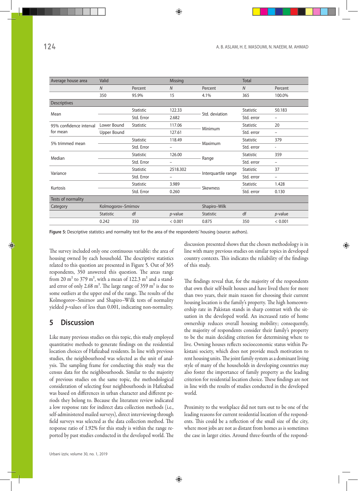| Average house area      | Valid              |                  | <b>Missing</b>           |                     | <b>Total</b>     |                          |  |
|-------------------------|--------------------|------------------|--------------------------|---------------------|------------------|--------------------------|--|
|                         | $\overline{N}$     | Percent          | $\boldsymbol{N}$         | Percent             | N                | Percent                  |  |
|                         | 350                | 95.9%            | 15                       | 4.1%                | 365              | 100.0%                   |  |
| Descriptives            |                    |                  |                          |                     |                  |                          |  |
| Mean                    |                    | Statistic        | 122.33                   | Std. deviation      | Statistic        | 50.183                   |  |
|                         |                    | Std. Error       | 2.682                    |                     | Std. error       | -                        |  |
| 95% confidence interval | Lower Bound        | Statistic        | 117.06                   | Minimum             | Statistic        | 20                       |  |
| for mean                | Upper Bound        |                  | 127.61                   |                     | Std. error       | $\overline{\phantom{0}}$ |  |
| 5% trimmed mean         |                    | Statistic        | 118.49                   | Maximum             | Statistic        | 379                      |  |
|                         |                    | Std. Error       | -                        |                     | Std. error       | $\overline{\phantom{a}}$ |  |
| Median                  |                    | Statistic        | 126.00                   |                     | <b>Statistic</b> | 359                      |  |
|                         |                    | Std. Error       | $\overline{\phantom{0}}$ | Range               | Std. error       | $\overline{\phantom{0}}$ |  |
| Variance                |                    | Statistic        | 2518.302                 |                     | Statistic        | 37                       |  |
|                         |                    | Std. Error       | -                        | Interquartile range | Std. error       | $\overline{\phantom{0}}$ |  |
| Kurtosis                |                    | <b>Statistic</b> | 3.989                    | Skewness            | <b>Statistic</b> | 1.428                    |  |
|                         |                    | Std. Error       | 0.260                    |                     | Std. error       | 0.130                    |  |
| Tests of normality      |                    |                  |                          |                     |                  |                          |  |
| Category                | Kolmogorov-Smirnov |                  |                          | Shapiro-Wilk        |                  |                          |  |
|                         | <b>Statistic</b>   | df               | $p$ -value               | Statistic           | df               | $p$ -value               |  |
|                         | 0.242              | 350              | < 0.001                  | 0.875               | 350              | < 0.001                  |  |

**Figure 5:** Descriptive statistics and normality test for the area of the respondents' housing (source: authors).

The survey included only one continuous variable: the area of housing owned by each household. The descriptive statistics related to this question are presented in Figure 5. Out of 365 respondents, 350 answered this question. The areas range from 20  $m<sup>2</sup>$  to 379  $m<sup>2</sup>$ , with a mean of 122.3  $m<sup>2</sup>$  and a standard error of only 2.68  $m^2$ . The large range of 359  $m^2$  is due to some outliers at the upper end of the range. The results of the Kolmogorov–Smirnov and Shapiro–Wilk tests of normality yielded *p-*values of less than 0.001, indicating non-normality.

## **5 Discussion**

Like many previous studies on this topic, this study employed quantitative methods to generate findings on the residential location choices of Hafizabad residents. In line with previous studies, the neighbourhood was selected as the unit of analysis. The sampling frame for conducting this study was the census data for the neighbourhoods. Similar to the majority of previous studies on the same topic, the methodological consideration of selecting four neighbourhoods in Hafizabad was based on differences in urban character and different periods they belong to. Because the literature review indicated a low response rate for indirect data collection methods (i.e., self-administered mailed surveys), direct interviewing through field surveys was selected as the data collection method. The response ratio of 1.92% for this study is within the range reported by past studies conducted in the developed world. The discussion presented shows that the chosen methodology is in line with many previous studies on similar topics in developed country contexts. This indicates the reliability of the findings of this study.

The findings reveal that, for the majority of the respondents that own their self-built houses and have lived there for more than two years, their main reason for choosing their current housing location is the family's property. The high homeownership rate in Pakistan stands in sharp contrast with the situation in the developed world. An increased ratio of home ownership reduces overall housing mobility; consequently, the majority of respondents consider their family's property to be the main deciding criterion for determining where to live. Owning houses reflects socioeconomic status within Pakistani society, which does not provide much motivation to rent housing units. The joint family system as a dominant living style of many of the households in developing countries may also foster the importance of family property as the leading criterion for residential location choice. These findings are not in line with the results of studies conducted in the developed world.

Proximity to the workplace did not turn out to be one of the leading reasons for current residential location of the respondents. This could be a reflection of the small size of the city, where most jobs are not as distant from homes as is sometimes the case in larger cities. Around three-fourths of the respond-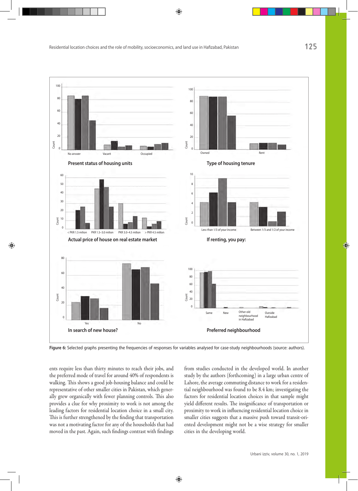

**Figure 6:** Selected graphs presenting the frequencies of responses for variables analysed for case-study neighbourhoods (source: authors).

ents require less than thirty minutes to reach their jobs, and the preferred mode of travel for around 40% of respondents is walking. This shows a good job-housing balance and could be representative of other smaller cities in Pakistan, which generally grew organically with fewer planning controls. This also provides a clue for why proximity to work is not among the leading factors for residential location choice in a small city. This is further strengthened by the finding that transportation was not a motivating factor for any of the households that had moved in the past. Again, such findings contrast with findings from studies conducted in the developed world. In another study by the authors (forthcoming) in a large urban centre of Lahore, the average commuting distance to work for a residential neighbourhood was found to be 8.4 km; investigating the factors for residential location choices in that sample might yield different results. The insignificance of transportation or proximity to work in influencing residential location choice in smaller cities suggests that a massive push toward transit-oriented development might not be a wise strategy for smaller cities in the developing world.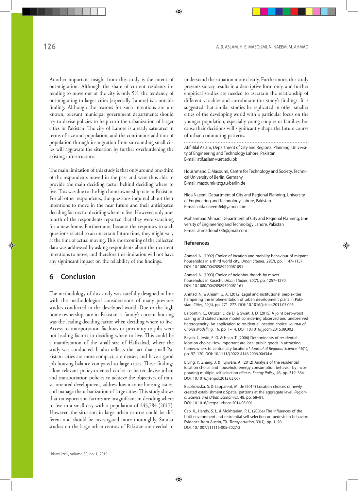Another important insight from this study is the intent of out-migration. Although the share of current residents intending to move out of the city is only 5%, the tendency of out-migrating to larger cities (especially Lahore) is a notable finding. Although the reasons for such intentions are unknown, relevant municipal government departments should try to devise policies to help curb the urbanization of larger cities in Pakistan. The city of Lahore is already saturated in terms of size and population, and the continuous addition of population through in-migration from surrounding small cities will aggravate the situation by further overburdening the existing infrastructure.

The main limitation of this study is that only around one-third of the respondents moved in the past and were thus able to provide the main deciding factor behind deciding where to live. This was due to the high homeownership rate in Pakistan. For all other respondents, the questions inquired about their intentions to move in the near future and their anticipated deciding factors for deciding where to live. However, only onefourth of the respondents reported that they were searching for a new home. Furthermore, because the responses to such questions related to an uncertain future time, they might vary at the time of actual moving. This shortcoming of the collected data was addressed by asking respondents about their current intentions to move, and therefore this limitation will not have any significant impact on the reliability of the findings.

# **6 Conclusion**

The methodology of this study was carefully designed in line with the methodological considerations of many previous studies conducted in the developed world. Due to the high home-ownership rate in Pakistan, a family's current housing was the leading deciding factor when deciding where to live. Access to transportation facilities or proximity to jobs were not leading factors in deciding where to live. This could be a manifestation of the small size of Hafizabad, where the study was conducted. It also reflects the fact that small Pakistani cities are more compact, are denser, and have a good job-housing balance compared to large cities. These findings allow relevant policy-oriented circles to better devise urban and transportation policies to achieve the objectives of transit-oriented development, address low-income housing issues, and manage the urbanization of large cities. This study shows that transportation factors are insignificant in deciding where to live in a small city with a population of 245,784 (2017). However, the situation in large urban centres could be different and should be investigated more thoroughly. Similar studies on the large urban centres of Pakistan are needed to understand the situation more clearly. Furthermore, this study presents survey results in a descriptive form only, and further empirical studies are needed to ascertain the relationship of different variables and corroborate this study's findings. It is suggested that similar studies be replicated in other smaller cities of the developing world with a particular focus on the younger population, especially young couples or families, because their decisions will significantly shape the future course of urban commuting patterns.

Atif Bilal Aslam, Department of City and Regional Planning, University of Engineering and Technology Lahore, Pakistan E-mail: atif.aslam@uet.edu.pk

Houshmand E. Masoumi, Centre for Technology and Society, Technical University of Berlin, Germany E-mail: masoumi@ztg.tu-berlin.de

Nida Naeem, Department of City and Regional Planning, University of Engineering and Technology Lahore, Pakistan E-mail: nida.naeem64@yahoo.com

Mohammad Ahmad, Department of City and Regional Planning, University of Engineering and Technology Lahore, Pakistan E-mail: ahmadnoul786@gmail.com

#### **References**

Ahmad, N. (1992) Choice of location and mobility behaviour of migrant households in a third world city. *Urban Studies*, 29(7), pp. 1147–1157. DOI: 10.1080/00420989220081091

Ahmad, N. (1993) Choice of neighbourhoods by mover households in Karachi. *Urban Studies*, 30(7), pp. 1257–1270. DOI: 10.1080/00420989320081161

Ahmad, N. & Anjum, G. A. (2012) Legal and institutional perplexities hampering the implementation of urban development plans in Pakistan. *Cities*, 29(4), pp. 271–277. DOI: 10.1016/j.cities.2011.07.006

Balbontin, C., Ortúzar, J. de D. & Swait, J. D. (2015) A joint best–worst scaling and stated choice model considering observed and unobserved heterogeneity: An application to residential location choice. *Journal of Choice Modelling*, 16, pp. 1–14. DOI: 10.1016/j.jocm.2015.09.002

Bayoh, I., Irwin, E. G. & Haab, T. (2006) Determinants of residential location choice: How important are local public goods in attracting homeowners to central city locations? *Journal of Regional Science*, 46(1), pp. 97–120. DOI: 10.1111/j.0022-4146.2006.00434.x

Biying, Y., Zhang, J. & Fujiwara, A. (2012) Analysis of the residential location choice and household energy consumption behavior by incorporating multiple self-selection effects. *Energy Policy*, 46, pp. 319–334. DOI: 10.1016/j.enpol.2012.03.067

Buczkowska, S. & Lapparent, M. de (2014) Location choices of newly created establishments: Spatial patterns at the aggregate level. *Regional Science and Urban Economics*, 48, pp. 68–81. DOI: 10.1016/j.regsciurbeco.2014.05.001

Cao, X., Handy, S. L. & Mokhtarian, P. L. (2006a) The influences of the built environment and residential self-selection on pedestrian behavior: Evidence from Austin, TX. *Transportation*, 33(1), pp. 1–20. DOI: 10.1007/s11116-005-7027-2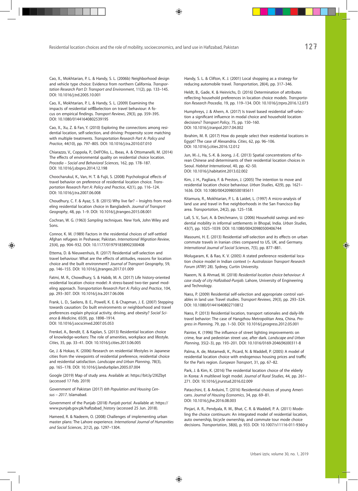Cao, X., Mokhtarian, P. L. & Handy, S. L. (2006b) Neighborhood design and vehicle type choice: Evidence from northern California. *Transportation Research Part D: Transport and Environment*, 11(2), pp. 133–145. DOI: 10.1016/j.trd.2005.10.001

Cao, X., Mokhtarian, P. L. & Handy, S. L. (2009) Examining the impacts of residential self selection on travel behaviour: A focus on empirical findings. *Transport Reviews*, 29(3), pp. 359–395. DOI: 10.1080/01441640802539195

Cao, X., Xu, Z. & Fan, Y. (2010) Exploring the connections among residential location, self-selection, and driving: Propensity score matching with multiple treatments. *Transportation Research Part A: Policy and Practice*, 44(10), pp. 797–805. DOI: 10.1016/j.tra.2010.07.010

Chiarazzo, V., Coppola, P., Dell'Olio, L., Ibeas, A. & Ottomanelli, M. (2014) The effects of environmental quality on residential choice location. *Procedia – Social and Behavioral Sciences*, 162, pp. 178–187. DOI: 10.1016/j.sbspro.2014.12.198

Choocharukul, K., Van, H. T. & Fujii, S. (2008) Psychological effects of travel behavior on preference of residential location choice. *Transportation Research Part A: Policy and Practice*, 42(1), pp. 116–124. DOI: 10.1016/j.tra.2007.06.008

Choudhury, C. F. & Ayaz, S. B. (2015) Why live far? – Insights from modeling residential location choice in Bangladesh. *Journal of Transport Geography*, 48, pp. 1–9. DOI: 10.1016/j.jtrangeo.2015.08.001

Cochran, W. G. (1963) *Sampling techniques*. New York, John Wiley and Sons.

Connor, K. M. (1989) Factors in the residential choices of self-settled Afghan refugees in Peshawar, Pakistan. *International Migration Review*, 23(4), pp. 904–932. DOI: 10.1177/019791838902300408

Ettema, D. & Nieuwenhuis, R. (2017) Residential self-selection and travel behaviour: What are the effects of attitudes, reasons for location choice and the built environment? *Journal of Transport Geography*, 59, pp. 146–155. DOI: 10.1016/j.jtrangeo.2017.01.009

Fatmi, M. R., Chowdhury, S. & Habib, M. A. (2017) Life history-oriented residential location choice model: A stress-based two-tier panel modeling approach. *Transportation Research Part A: Policy and Practice*, 104, pp. 293–307. DOI: 10.1016/j.tra.2017.06.006

Frank, L. D., Saelens, B. E., Powell, K. E. & Chapman, J. E. (2007) Stepping towards causation: Do built environments or neighborhood and travel preferences explain physical activity, driving, and obesity? *Social Science & Medicine*, 65(9), pp. 1898–1914. DOI: 10.1016/j.socscimed.2007.05.053

Frenkel, A., Bendit, E. & Kaplan, S. (2013) Residential location choice of knowledge-workers: The role of amenities, workplace and lifestyle. *Cities*, 35, pp. 33–41. DOI: 10.1016/j.cities.2013.06.005

Ge, J. & Hokao, K. (2006) Research on residential lifestyles in Japanese cities from the viewpoints of residential preference, residential choice and residential satisfaction. *Landscape and Urban Planning*, 78(3), pp. 165–178. DOI: 10.1016/j.landurbplan.2005.07.004

Google (2019) Map of study area. Available at: https://bit.ly/2XIZbyt (accessed 17 Feb. 2019)

Government of Pakistan (2017) *6th Population and Housing Census – 2017*. Islamabad.

Government of the Punjab (2018) *Punjab portal*. Available at: https:// www.punjab.gov.pk/hafizabad\_history (accessed 25 Jun. 2018).

Hameed, R. & Nadeem, O. (2008) Challenges of implementing urban master plans: The Lahore experience. *International Journal of Humanities and Social Sciences*, 2(12), pp. 1297–1304.

Handy, S. L. & Clifton, K. J. (2001) Local shopping as a strategy for reducing automobile travel. *Transportation*, 28(4), pp. 317–346.

Heldt, B., Gade, K. & Heinrichs, D. (2016) Determination of attributes reflecting household preferences in location choice models. *Transportation Research Procedia*, 19, pp. 119–134. DOI: 10.1016/j.trpro.2016.12.073

Humphreys, J. & Ahern, A. (2017) Is travel based residential self-selection a significant influence in modal choice and household location decisions? *Transport Policy*, 75, pp. 150–160. DOI: 10.1016/j.tranpol.2017.04.002

Ibrahim, M. R. (2017) How do people select their residential locations in Egypt? The case of Alexandria. *Cities*, 62, pp. 96–106. DOI: 10.1016/j.cities.2016.12.012

Jun, M.-J., Ha, S.-K. & Jeong, J.-E. (2013) Spatial concentrations of Korean Chinese and determinants of their residential location choices in Seoul. *Habitat International*, 40, pp. 42–50. DOI: 10.1016/j.habitatint.2013.02.002

Kim, J. H., Pagliara, F. & Preston, J. (2005) The intention to move and residential location choice behaviour. *Urban Studies*, 42(9), pp. 1621– 1636. DOI: 10.1080/00420980500185611

Kitamura, R., Mokhtarian, P. L. & Laidet, L. (1997) A micro-analysis of land use and travel in five neighborhoods in the San Francisco Bay area. *Transportation*, 24(2), pp. 125–158.

Lall, S. V., Suri, A. & Deichmann, U. (2006) Household savings and residential mobility in informal settlements in Bhopal, India. *Urban Studies*, 43(7), pp. 1025–1039. DOI: 10.1080/00420980500406744

Masoumi, H. E. (2013) Residential self-selection and its effects on urban commute travels in Iranian cities compared to US, UK, and Germany. *International Journal of Social Sciences*, 7(5), pp. 877–881.

Molugaram, K. & Rao, K. V. (2005) A stated preference residential location choice model in Indian context (= *Australasian Transport Research Forum (ATRF)* 28). Sydney, Curtin University.

Naeem, N. & Ahmad, M. (2018) *Residential location choice behaviour: A case study of city Hafizabad-Punjab*. Lahore, University of Engineering and Technology.

Næss, P. (2009) Residential self-selection and appropriate control variables in land use: Travel studies. *Transport Reviews*, 29(3), pp. 293–324. DOI: 10.1080/01441640802710812

Næss, P. (2013) Residential location, transport rationales and daily-life travel behavior: The case of Hangzhou Metropolitan Area, China. *Progress in Planning*, 79, pp. 1–50. DOI: 10.1016/j.progress.2012.05.001

Painter, K. (1996) The influence of street lighting improvements on crime, fear and pedestrian street use, after dark. *Landscape and Urban Planning*, 35(2–3), pp. 193–201. DOI: 10.1016/0169-2046(96)00311-8

Palma, A. de, Motamedi, K., Picard, N. & Waddell, P. (2005) A model of residential location choice with endogenous housing prices and traffic for the Paris region. *European Transport*, 31, pp. 67–82.

Park, J. & Kim, K. (2016) The residential location choice of the elderly in Korea: A multilevel logit model. *Journal of Rural Studies*, 44, pp. 261– 271. DOI: 10.1016/j.jrurstud.2016.02.009

Patacchini, E. & Arduini, T. (2016) Residential choices of young Americans. *Journal of Housing Economics*, 34, pp. 69–81. DOI: 10.1016/j.jhe.2016.08.003

Pinjari, A. R., Pendyala, R. M., Bhat, C. R. & Waddell, P. A. (2011) Modeling the choice continuum: An integrated model of residential location, auto ownership, bicycle ownership, and commute tour mode choice decisions. *Transportation*, 38(6), p. 933. DOI: 10.1007/s11116-011-9360-y